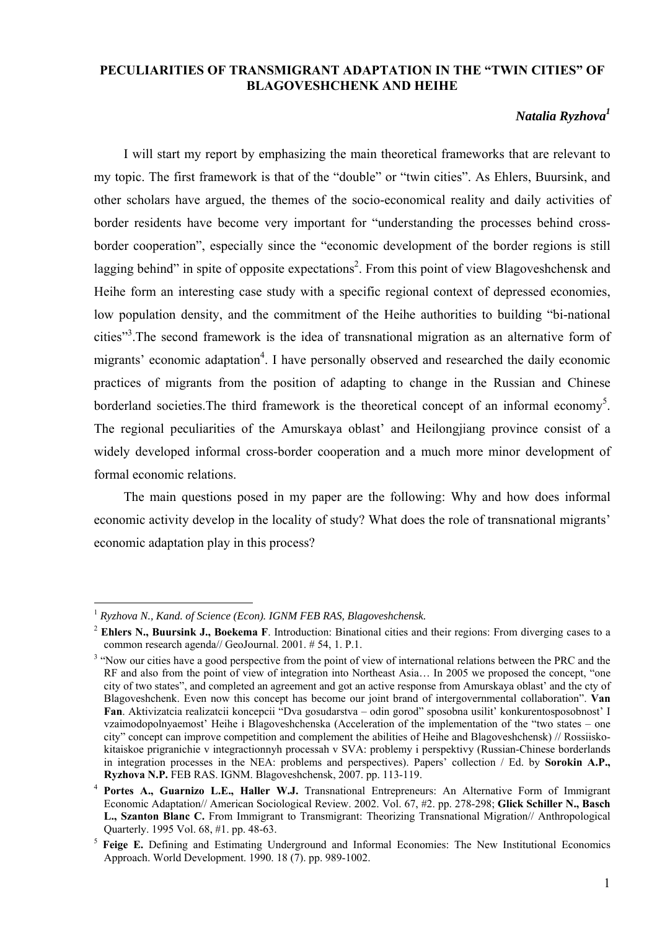## **PECULIARITIES OF TRANSMIGRANT ADAPTATION IN THE "TWIN CITIES" OF BLAGOVESHCHENK AND HEIHE**

# *Natalia Ryzhova1*

I will start my report by emphasizing the main theoretical frameworks that are relevant to my topic. The first framework is that of the "double" or "twin cities". As Ehlers, Buursink, and other scholars have argued, the themes of the socio-economical reality and daily activities of border residents have become very important for "understanding the processes behind crossborder cooperation", especially since the "economic development of the border regions is still lagging behind" in spite of opposite expectations<sup>2</sup>. From this point of view Blagoveshchensk and Heihe form an interesting case study with a specific regional context of depressed economies, low population density, and the commitment of the Heihe authorities to building "bi-national cities"<sup>3</sup>. The second framework is the idea of transnational migration as an alternative form of migrants' economic adaptation<sup>4</sup>. I have personally observed and researched the daily economic practices of migrants from the position of adapting to change in the Russian and Chinese borderland societies. The third framework is the theoretical concept of an informal economy<sup>5</sup>. The regional peculiarities of the Amurskaya oblast' and Heilongjiang province consist of a widely developed informal cross-border cooperation and a much more minor development of formal economic relations.

The main questions posed in my paper are the following: Why and how does informal economic activity develop in the locality of study? What does the role of transnational migrants' economic adaptation play in this process?

<sup>1</sup> *Ryzhova N., Kand. of Science (Econ). IGNM FEB RAS, Blagoveshchensk.* 

<sup>2</sup> **Ehlers N., Buursink J., Boekema F**. Introduction: Binational cities and their regions: From diverging cases to a common research agenda// GeoJournal. 2001. # 54, 1. P.1.

<sup>&</sup>lt;sup>3</sup> "Now our cities have a good perspective from the point of view of international relations between the PRC and the RF and also from the point of view of integration into Northeast Asia… In 2005 we proposed the concept, "one city of two states", and completed an agreement and got an active response from Amurskaya oblast' and the cty of Blagoveshchenk. Even now this concept has become our joint brand of intergovernmental collaboration". **Van Fan**. Aktivizatcia realizatcii koncepcii "Dva gosudarstva – odin gorod" sposobna usilit' konkurentosposobnost' I vzaimodopolnyaemost' Heihe i Blagoveshchenska (Acceleration of the implementation of the "two states – one city" concept can improve competition and complement the abilities of Heihe and Blagoveshchensk) // Rossiiskokitaiskoe prigranichie v integractionnyh processah v SVA: problemy i perspektivy (Russian-Chinese borderlands in integration processes in the NEA: problems and perspectives). Papers' collection / Ed. by **Sorokin A.P., Ryzhova N.P.** FEB RAS. IGNM. Blagoveshchensk, 2007. pp. 113-119.

<sup>4</sup> **Portes A., Guarnizo L.E., Haller W.J.** Transnational Entrepreneurs: An Alternative Form of Immigrant Economic Adaptation// American Sociological Review. 2002. Vol. 67, #2. pp. 278-298; **Glick Schiller N., Basch L., Szanton Blanc C.** From Immigrant to Transmigrant: Theorizing Transnational Migration// Anthropological Quarterly. 1995 Vol. 68, #1. pp. 48-63.

<sup>5</sup> **Feige E.** Defining and Estimating Underground and Informal Economies: The New Institutional Economics Approach. World Development. 1990. 18 (7). pp. 989-1002.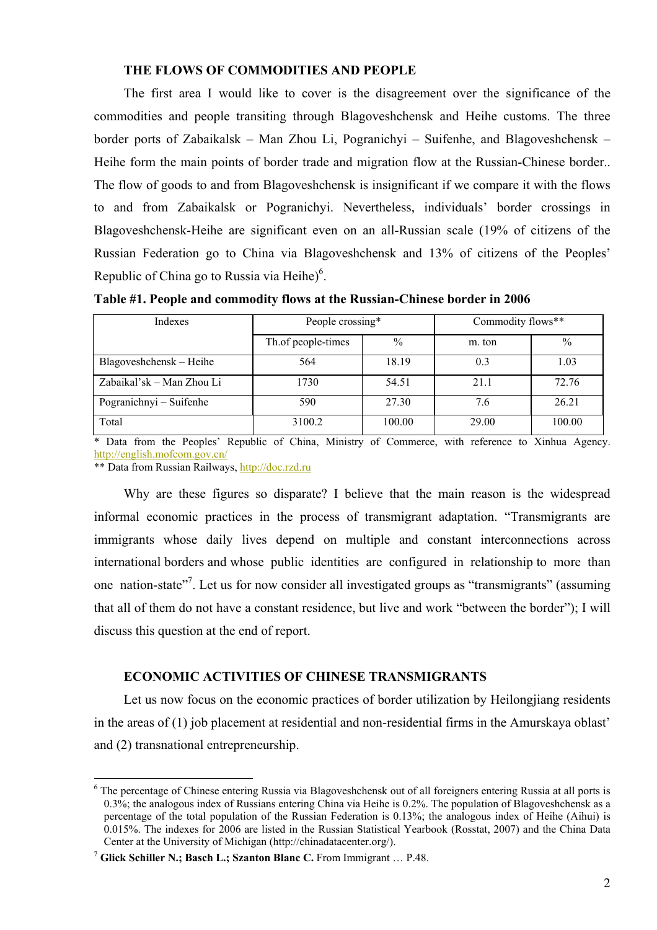### **THE FLOWS OF COMMODITIES AND PEOPLE**

The first area I would like to cover is the disagreement over the significance of the commodities and people transiting through Blagoveshchensk and Heihe customs. The three border ports of Zabaikalsk – Man Zhou Li, Pogranichyi – Suifenhe, and Blagoveshchensk – Heihe form the main points of border trade and migration flow at the Russian-Chinese border.. The flow of goods to and from Blagoveshchensk is insignificant if we compare it with the flows to and from Zabaikalsk or Pogranichyi. Nevertheless, individuals' border crossings in Blagoveshchensk-Heihe are significant even on an all-Russian scale (19% of citizens of the Russian Federation go to China via Blagoveshchensk and 13% of citizens of the Peoples' Republic of China go to Russia via Heihe $)^6$ .

**Table #1. People and commodity flows at the Russian-Chinese border in 2006** 

| Indexes                   | People crossing*   |               | Commodity flows** |               |  |
|---------------------------|--------------------|---------------|-------------------|---------------|--|
|                           | Th.of people-times | $\frac{0}{0}$ | m. ton            | $\frac{0}{0}$ |  |
| Blagoveshchensk - Heihe   | 564                | 18.19         | 0.3               | 1.03          |  |
| Zabaikal'sk – Man Zhou Li | 1730               | 54.51         | 21.1              | 72.76         |  |
| Pogranichnyi – Suifenhe   | 590                | 27.30         | 7.6               | 26.21         |  |
| Total                     | 3100.2             | 100.00        | 29.00             | 100.00        |  |

\* Data from the Peoples' Republic of China, Ministry of Commerce, with reference to Xinhua Agency. http://english.mofcom.gov.cn/

\*\* Data from Russian Railways, http://doc.rzd.ru

 $\overline{a}$ 

Why are these figures so disparate? I believe that the main reason is the widespread informal economic practices in the process of transmigrant adaptation. "Transmigrants are immigrants whose daily lives depend on multiple and constant interconnections across international borders and whose public identities are configured in relationship to more than one nation-state<sup>"7</sup>. Let us for now consider all investigated groups as "transmigrants" (assuming that all of them do not have a constant residence, but live and work "between the border"); I will discuss this question at the end of report.

## **ECONOMIC ACTIVITIES OF CHINESE TRANSMIGRANTS**

Let us now focus on the economic practices of border utilization by Heilongjiang residents in the areas of (1) job placement at residential and non-residential firms in the Amurskaya oblast' and (2) transnational entrepreneurship.

<sup>&</sup>lt;sup>6</sup> The percentage of Chinese entering Russia via Blagoveshchensk out of all foreigners entering Russia at all ports is 0.3%; the analogous index of Russians entering China via Heihe is 0.2%. The population of Blagoveshchensk as a percentage of the total population of the Russian Federation is 0.13%; the analogous index of Heihe (Aihui) is 0.015%. The indexes for 2006 are listed in the Russian Statistical Yearbook (Rosstat, 2007) and the China Data Center at the University of Michigan (http://chinadatacenter.org/).

<sup>7</sup> **Glick Schiller N.; Basch L.; Szanton Blanc C.** From Immigrant … P.48.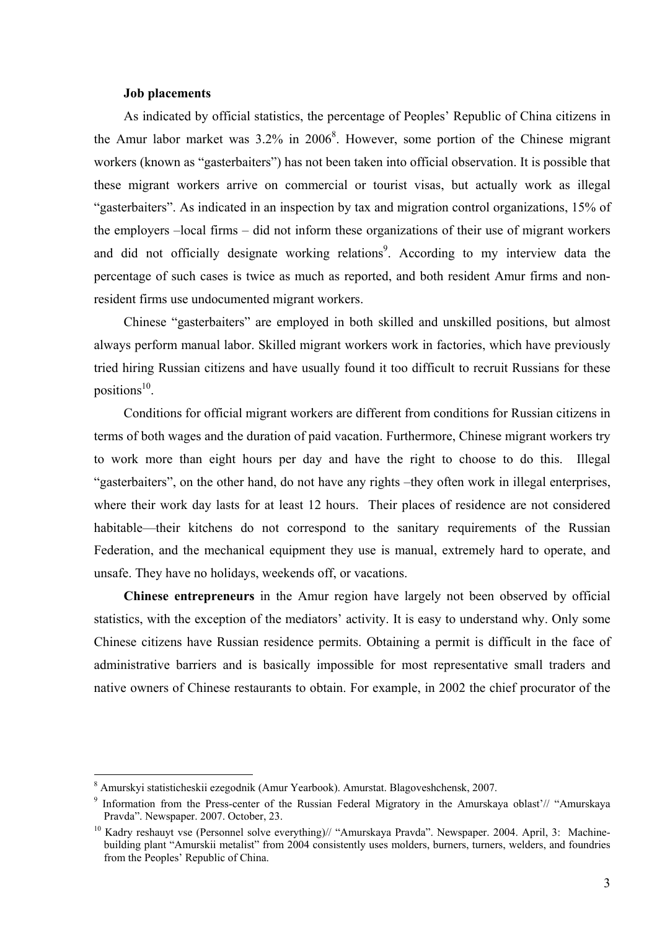#### **Job placements**

As indicated by official statistics, the percentage of Peoples' Republic of China citizens in the Amur labor market was  $3.2\%$  in  $2006<sup>8</sup>$ . However, some portion of the Chinese migrant workers (known as "gasterbaiters") has not been taken into official observation. It is possible that these migrant workers arrive on commercial or tourist visas, but actually work as illegal "gasterbaiters". As indicated in an inspection by tax and migration control organizations, 15% of the employers –local firms – did not inform these organizations of their use of migrant workers and did not officially designate working relations<sup>9</sup>. According to my interview data the percentage of such cases is twice as much as reported, and both resident Amur firms and nonresident firms use undocumented migrant workers.

Chinese "gasterbaiters" are employed in both skilled and unskilled positions, but almost always perform manual labor. Skilled migrant workers work in factories, which have previously tried hiring Russian citizens and have usually found it too difficult to recruit Russians for these positions $^{10}$ .

Conditions for official migrant workers are different from conditions for Russian citizens in terms of both wages and the duration of paid vacation. Furthermore, Chinese migrant workers try to work more than eight hours per day and have the right to choose to do this. Illegal "gasterbaiters", on the other hand, do not have any rights –they often work in illegal enterprises, where their work day lasts for at least 12 hours. Their places of residence are not considered habitable—their kitchens do not correspond to the sanitary requirements of the Russian Federation, and the mechanical equipment they use is manual, extremely hard to operate, and unsafe. They have no holidays, weekends off, or vacations.

**Chinese entrepreneurs** in the Amur region have largely not been observed by official statistics, with the exception of the mediators' activity. It is easy to understand why. Only some Chinese citizens have Russian residence permits. Obtaining a permit is difficult in the face of administrative barriers and is basically impossible for most representative small traders and native owners of Chinese restaurants to obtain. For example, in 2002 the chief procurator of the

<sup>&</sup>lt;sup>8</sup> Amurskyi statisticheskii ezegodnik (Amur Yearbook). Amurstat. Blagoveshchensk, 2007.

<sup>&</sup>lt;sup>9</sup> Information from the Press-center of the Russian Federal Migratory in the Amurskaya oblast'// "Amurskaya" Pravda". Newspaper. 2007. October, 23.

<sup>&</sup>lt;sup>10</sup> Kadry reshauyt vse (Personnel solve everything)// "Amurskaya Pravda". Newspaper. 2004. April, 3: Machinebuilding plant "Amurskii metalist" from 2004 consistently uses molders, burners, turners, welders, and foundries from the Peoples' Republic of China.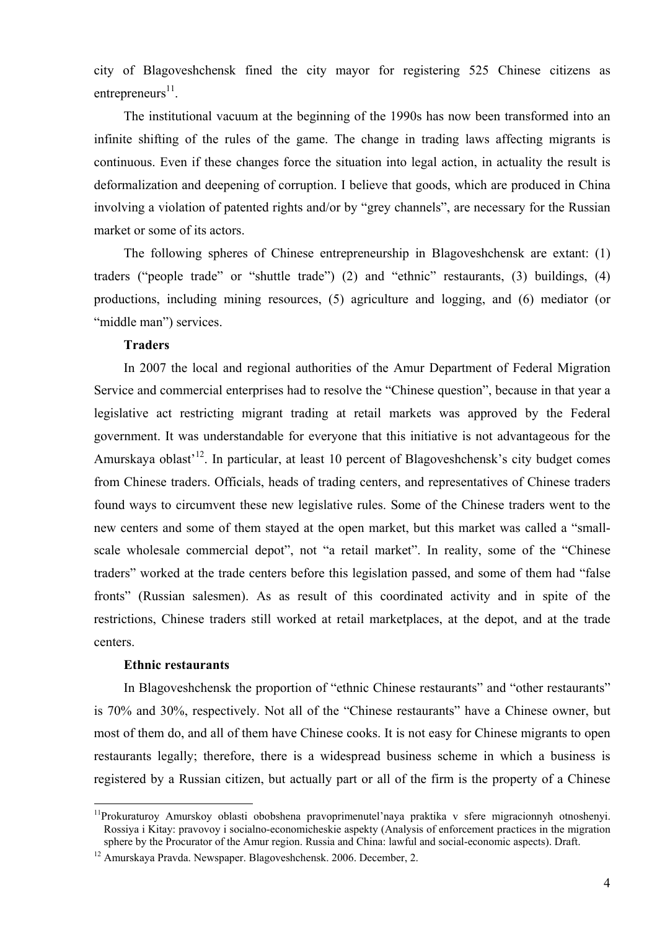city of Blagoveshchensk fined the city mayor for registering 525 Chinese citizens as entrepreneurs $^{11}$ .

The institutional vacuum at the beginning of the 1990s has now been transformed into an infinite shifting of the rules of the game. The change in trading laws affecting migrants is continuous. Even if these changes force the situation into legal action, in actuality the result is deformalization and deepening of corruption. I believe that goods, which are produced in China involving a violation of patented rights and/or by "grey channels", are necessary for the Russian market or some of its actors.

The following spheres of Chinese entrepreneurship in Blagoveshchensk are extant: (1) traders ("people trade" or "shuttle trade") (2) and "ethnic" restaurants, (3) buildings, (4) productions, including mining resources, (5) agriculture and logging, and (6) mediator (or "middle man") services.

## **Traders**

In 2007 the local and regional authorities of the Amur Department of Federal Migration Service and commercial enterprises had to resolve the "Chinese question", because in that year a legislative act restricting migrant trading at retail markets was approved by the Federal government. It was understandable for everyone that this initiative is not advantageous for the Amurskaya oblast<sup> $12$ </sup>. In particular, at least 10 percent of Blagoveshchensk's city budget comes from Chinese traders. Officials, heads of trading centers, and representatives of Chinese traders found ways to circumvent these new legislative rules. Some of the Chinese traders went to the new centers and some of them stayed at the open market, but this market was called a "smallscale wholesale commercial depot", not "a retail market". In reality, some of the "Chinese traders" worked at the trade centers before this legislation passed, and some of them had "false fronts" (Russian salesmen). As as result of this coordinated activity and in spite of the restrictions, Chinese traders still worked at retail marketplaces, at the depot, and at the trade centers.

#### **Ethnic restaurants**

 $\overline{a}$ 

In Blagoveshchensk the proportion of "ethnic Chinese restaurants" and "other restaurants" is 70% and 30%, respectively. Not all of the "Chinese restaurants" have a Chinese owner, but most of them do, and all of them have Chinese cooks. It is not easy for Chinese migrants to open restaurants legally; therefore, there is a widespread business scheme in which a business is registered by a Russian citizen, but actually part or all of the firm is the property of a Chinese

 $11$ Prokuraturoy Amurskoy oblasti obobshena pravoprimenutel'naya praktika v sfere migracionnyh otnoshenyi. Rossiya i Kitay: pravovoy i socialno-economicheskie aspekty (Analysis of enforcement practices in the migration sphere by the Procurator of the Amur region. Russia and China: lawful and social-economic aspects). Draft.

<sup>12</sup> Amurskaya Pravda. Newspaper. Blagoveshchensk. 2006. December, 2.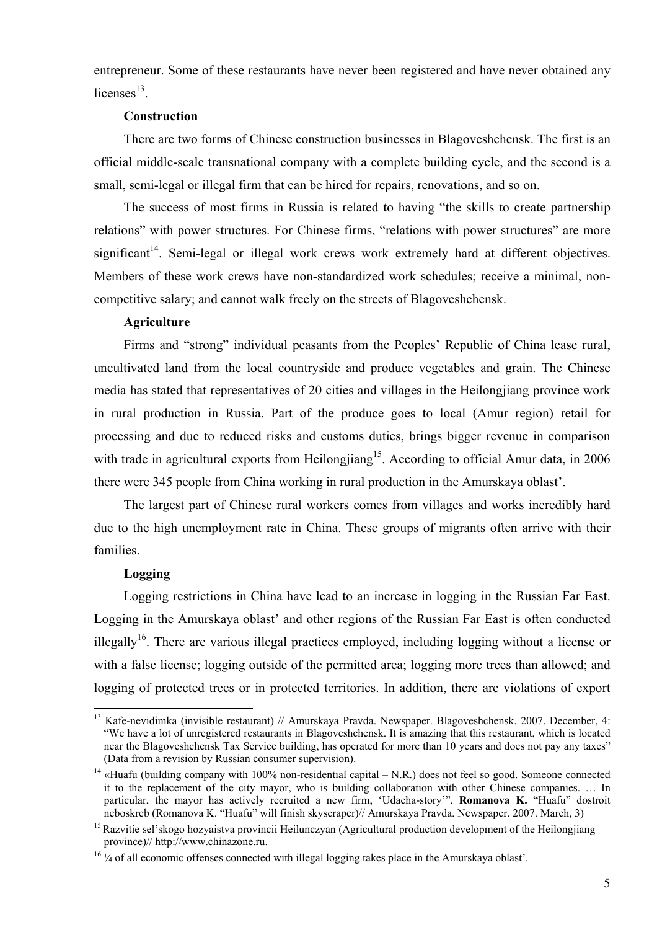entrepreneur. Some of these restaurants have never been registered and have never obtained any licenses $^{13}$ 

## **Construction**

There are two forms of Chinese construction businesses in Blagoveshchensk. The first is an official middle-scale transnational company with a complete building cycle, and the second is a small, semi-legal or illegal firm that can be hired for repairs, renovations, and so on.

The success of most firms in Russia is related to having "the skills to create partnership relations" with power structures. For Chinese firms, "relations with power structures" are more significant<sup>14</sup>. Semi-legal or illegal work crews work extremely hard at different objectives. Members of these work crews have non-standardized work schedules; receive a minimal, noncompetitive salary; and cannot walk freely on the streets of Blagoveshchensk.

#### **Agriculture**

Firms and "strong" individual peasants from the Peoples' Republic of China lease rural, uncultivated land from the local countryside and produce vegetables and grain. The Chinese media has stated that representatives of 20 cities and villages in the Heilongjiang province work in rural production in Russia. Part of the produce goes to local (Amur region) retail for processing and due to reduced risks and customs duties, brings bigger revenue in comparison with trade in agricultural exports from Heilongjiang<sup>15</sup>. According to official Amur data, in 2006 there were 345 people from China working in rural production in the Amurskaya oblast'.

The largest part of Chinese rural workers comes from villages and works incredibly hard due to the high unemployment rate in China. These groups of migrants often arrive with their families.

#### **Logging**

 $\overline{a}$ 

Logging restrictions in China have lead to an increase in logging in the Russian Far East. Logging in the Amurskaya oblast' and other regions of the Russian Far East is often conducted illegally<sup>16</sup>. There are various illegal practices employed, including logging without a license or with a false license; logging outside of the permitted area; logging more trees than allowed; and logging of protected trees or in protected territories. In addition, there are violations of export

<sup>&</sup>lt;sup>13</sup> Kafe-nevidimka (invisible restaurant) // Amurskaya Pravda. Newspaper. Blagoveshchensk. 2007. December, 4: "We have a lot of unregistered restaurants in Blagoveshchensk. It is amazing that this restaurant, which is located near the Blagoveshchensk Tax Service building, has operated for more than 10 years and does not pay any taxes" (Data from a revision by Russian consumer supervision).

<sup>&</sup>lt;sup>14</sup> «Huafu (building company with 100% non-residential capital – N.R.) does not feel so good. Someone connected it to the replacement of the city mayor, who is building collaboration with other Chinese companies. … In particular, the mayor has actively recruited a new firm, 'Udacha-story'". **Romanova K.** "Huafu" dostroit neboskreb (Romanova K. "Huafu" will finish skyscraper)// Amurskaya Pravda. Newspaper. 2007. March, 3)

<sup>&</sup>lt;sup>15</sup> Razvitie sel'skogo hozvaistva provincii Heilunczyan (Agricultural production development of the Heilongijang province)// http://www.chinazone.ru.

<sup>&</sup>lt;sup>16</sup> ¼ of all economic offenses connected with illegal logging takes place in the Amurskaya oblast'.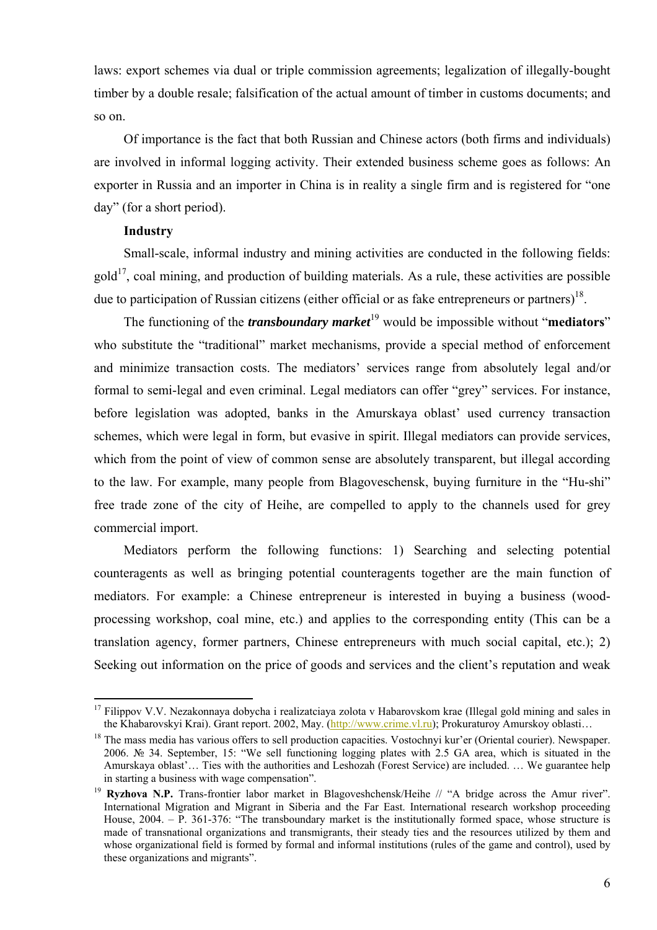laws: export schemes via dual or triple commission agreements; legalization of illegally-bought timber by a double resale; falsification of the actual amount of timber in customs documents; and so on.

Of importance is the fact that both Russian and Chinese actors (both firms and individuals) are involved in informal logging activity. Their extended business scheme goes as follows: An exporter in Russia and an importer in China is in reality a single firm and is registered for "one day" (for a short period).

#### **Industry**

 $\overline{a}$ 

Small-scale, informal industry and mining activities are conducted in the following fields:  $\text{gold}^{17}$ , coal mining, and production of building materials. As a rule, these activities are possible due to participation of Russian citizens (either official or as fake entrepreneurs or partners)<sup>18</sup>.

The functioning of the *transboundary market*<sup>19</sup> would be impossible without "**mediators**" who substitute the "traditional" market mechanisms, provide a special method of enforcement and minimize transaction costs. The mediators' services range from absolutely legal and/or formal to semi-legal and even criminal. Legal mediators can offer "grey" services. For instance, before legislation was adopted, banks in the Amurskaya oblast' used currency transaction schemes, which were legal in form, but evasive in spirit. Illegal mediators can provide services, which from the point of view of common sense are absolutely transparent, but illegal according to the law. For example, many people from Blagoveschensk, buying furniture in the "Hu-shi" free trade zone of the city of Heihe, are compelled to apply to the channels used for grey commercial import.

Mediators perform the following functions: 1) Searching and selecting potential counteragents as well as bringing potential counteragents together are the main function of mediators. For example: a Chinese entrepreneur is interested in buying a business (woodprocessing workshop, coal mine, etc.) and applies to the corresponding entity (This can be a translation agency, former partners, Chinese entrepreneurs with much social capital, etc.); 2) Seeking out information on the price of goods and services and the client's reputation and weak

 $17$  Filippov V.V. Nezakonnaya dobycha i realizatciaya zolota v Habarovskom krae (Illegal gold mining and sales in the Khabarovskyi Krai). Grant report. 2002, May. (http://www.crime.vl.ru); Prokuraturoy Amurskoy oblasti...<br><sup>18</sup> The mass media has various offers to sell production capacities. Vostochnyi kur'er (Oriental courier). Newspa

<sup>2006.</sup> № 34. September, 15: "We sell functioning logging plates with 2.5 GA area, which is situated in the Amurskaya oblast'… Ties with the authorities and Leshozah (Forest Service) are included. … We guarantee help in starting a business with wage compensation".

<sup>&</sup>lt;sup>19</sup> **Ryzhova N.P.** Trans-frontier labor market in Blagoveshchensk/Heihe // "A bridge across the Amur river". International Migration and Migrant in Siberia and the Far East. International research workshop proceeding House, 2004. – P. 361-376: "The transboundary market is the institutionally formed space, whose structure is made of transnational organizations and transmigrants, their steady ties and the resources utilized by them and whose organizational field is formed by formal and informal institutions (rules of the game and control), used by these organizations and migrants".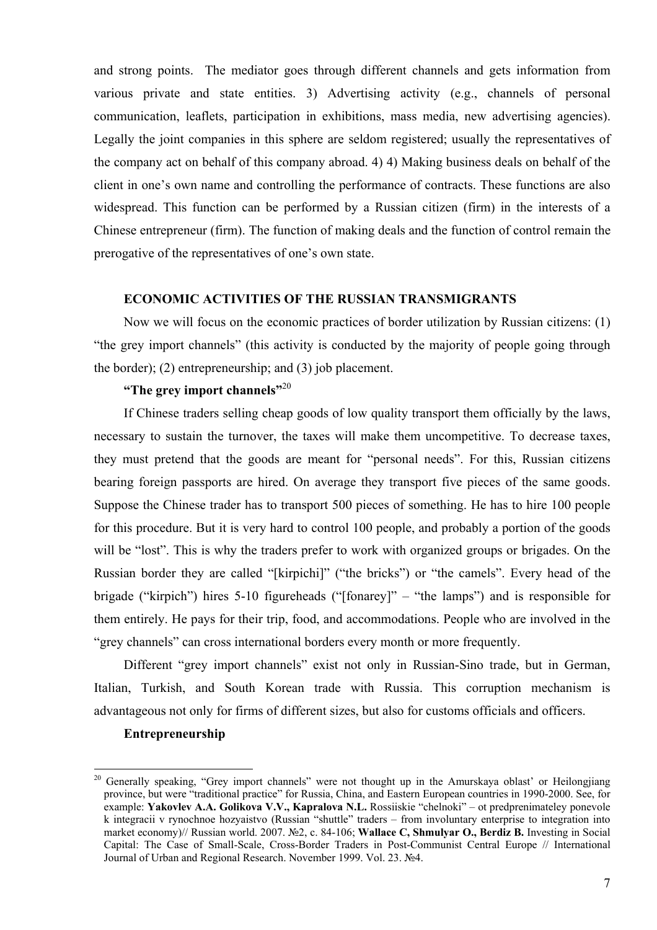and strong points. The mediator goes through different channels and gets information from various private and state entities. 3) Advertising activity (e.g., channels of personal communication, leaflets, participation in exhibitions, mass media, new advertising agencies). Legally the joint companies in this sphere are seldom registered; usually the representatives of the company act on behalf of this company abroad. 4) 4) Making business deals on behalf of the client in one's own name and controlling the performance of contracts. These functions are also widespread. This function can be performed by a Russian citizen (firm) in the interests of a Chinese entrepreneur (firm). The function of making deals and the function of control remain the prerogative of the representatives of one's own state.

## **ECONOMIC ACTIVITIES OF THE RUSSIAN TRANSMIGRANTS**

Now we will focus on the economic practices of border utilization by Russian citizens: (1) "the grey import channels" (this activity is conducted by the majority of people going through the border); (2) entrepreneurship; and (3) job placement.

## **"The grey import channels"**<sup>20</sup>

If Chinese traders selling cheap goods of low quality transport them officially by the laws, necessary to sustain the turnover, the taxes will make them uncompetitive. To decrease taxes, they must pretend that the goods are meant for "personal needs". For this, Russian citizens bearing foreign passports are hired. On average they transport five pieces of the same goods. Suppose the Chinese trader has to transport 500 pieces of something. He has to hire 100 people for this procedure. But it is very hard to control 100 people, and probably a portion of the goods will be "lost". This is why the traders prefer to work with organized groups or brigades. On the Russian border they are called "[kirpichi]" ("the bricks") or "the camels". Every head of the brigade ("kirpich") hires 5-10 figureheads ("[fonarey]" – "the lamps") and is responsible for them entirely. He pays for their trip, food, and accommodations. People who are involved in the "grey channels" can cross international borders every month or more frequently.

Different "grey import channels" exist not only in Russian-Sino trade, but in German, Italian, Turkish, and South Korean trade with Russia. This corruption mechanism is advantageous not only for firms of different sizes, but also for customs officials and officers.

#### **Entrepreneurship**

<sup>&</sup>lt;sup>20</sup> Generally speaking, "Grey import channels" were not thought up in the Amurskaya oblast' or Heilongjiang province, but were "traditional practice" for Russia, China, and Eastern European countries in 1990-2000. See, for example: **Yakovlev A.A. Golikova V.V., Kapralova N.L.** Rossiiskie "chelnoki" – ot predprenimateley ponevole k integracii v rynochnoe hozyaistvo (Russian "shuttle" traders – from involuntary enterprise to integration into market economy)// Russian world. 2007. №2, с. 84-106; **Wallace С, Shmulyar О., Berdiz В.** Investing in Social Capital: The Case of Small-Scale, Cross-Border Traders in Post-Communist Central Europe // International Journal of Urban and Regional Research. November 1999. Vol. 23. №4.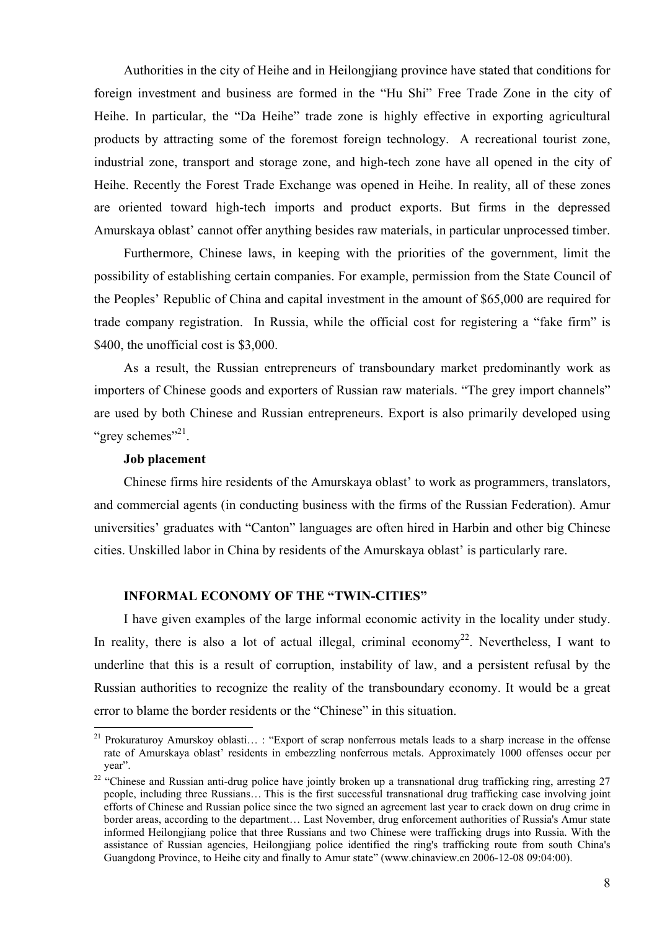Authorities in the city of Heihe and in Heilongjiang province have stated that conditions for foreign investment and business are formed in the "Hu Shi" Free Trade Zone in the city of Heihe. In particular, the "Da Heihe" trade zone is highly effective in exporting agricultural products by attracting some of the foremost foreign technology. A recreational tourist zone, industrial zone, transport and storage zone, and high-tech zone have all opened in the city of Heihe. Recently the Forest Trade Exchange was opened in Heihe. In reality, all of these zones are oriented toward high-tech imports and product exports. But firms in the depressed Amurskaya oblast' cannot offer anything besides raw materials, in particular unprocessed timber.

Furthermore, Chinese laws, in keeping with the priorities of the government, limit the possibility of establishing certain companies. For example, permission from the State Council of the Peoples' Republic of China and capital investment in the amount of \$65,000 are required for trade company registration. In Russia, while the official cost for registering a "fake firm" is \$400, the unofficial cost is \$3,000.

As a result, the Russian entrepreneurs of transboundary market predominantly work as importers of Chinese goods and exporters of Russian raw materials. "The grey import channels" are used by both Chinese and Russian entrepreneurs. Export is also primarily developed using "grey schemes"<sup>21</sup>.

#### **Job placement**

 $\overline{a}$ 

Chinese firms hire residents of the Amurskaya oblast' to work as programmers, translators, and commercial agents (in conducting business with the firms of the Russian Federation). Amur universities' graduates with "Canton" languages are often hired in Harbin and other big Chinese cities. Unskilled labor in China by residents of the Amurskaya oblast' is particularly rare.

#### **INFORMAL ECONOMY OF THE "TWIN-CITIES"**

I have given examples of the large informal economic activity in the locality under study. In reality, there is also a lot of actual illegal, criminal economy<sup>22</sup>. Nevertheless, I want to underline that this is a result of corruption, instability of law, and a persistent refusal by the Russian authorities to recognize the reality of the transboundary economy. It would be a great error to blame the border residents or the "Chinese" in this situation.

<sup>&</sup>lt;sup>21</sup> Prokuraturoy Amurskoy oblasti...: "Export of scrap nonferrous metals leads to a sharp increase in the offense rate of Amurskaya oblast' residents in embezzling nonferrous metals. Approximately 1000 offenses occur per year".

<sup>&</sup>lt;sup>22</sup> "Chinese and Russian anti-drug police have jointly broken up a transnational drug trafficking ring, arresting 27 people, including three Russians… This is the first successful transnational drug trafficking case involving joint efforts of Chinese and Russian police since the two signed an agreement last year to crack down on drug crime in border areas, according to the department… Last November, drug enforcement authorities of Russia's Amur state informed Heilongjiang police that three Russians and two Chinese were trafficking drugs into Russia. With the assistance of Russian agencies, Heilongjiang police identified the ring's trafficking route from south China's Guangdong Province, to Heihe city and finally to Amur state" (www.chinaview.cn 2006-12-08 09:04:00).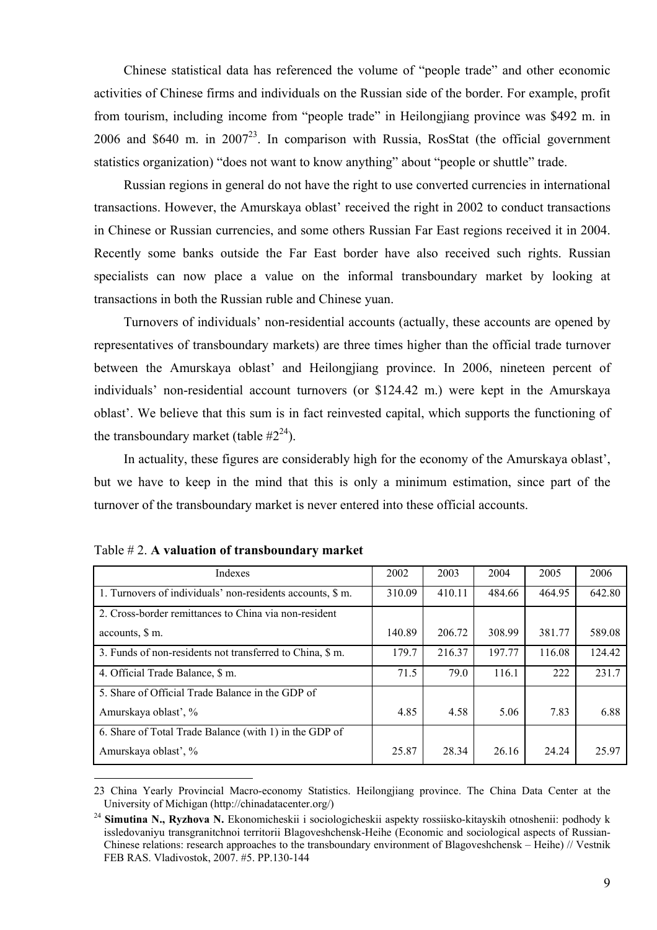Chinese statistical data has referenced the volume of "people trade" and other economic activities of Chinese firms and individuals on the Russian side of the border. For example, profit from tourism, including income from "people trade" in Heilongjiang province was \$492 m. in 2006 and \$640 m. in  $2007^{23}$ . In comparison with Russia, RosStat (the official government statistics organization) "does not want to know anything" about "people or shuttle" trade.

Russian regions in general do not have the right to use converted currencies in international transactions. However, the Amurskaya oblast' received the right in 2002 to conduct transactions in Chinese or Russian currencies, and some others Russian Far East regions received it in 2004. Recently some banks outside the Far East border have also received such rights. Russian specialists can now place a value on the informal transboundary market by looking at transactions in both the Russian ruble and Chinese yuan.

Turnovers of individuals' non-residential accounts (actually, these accounts are opened by representatives of transboundary markets) are three times higher than the official trade turnover between the Amurskaya oblast' and Heilongjiang province. In 2006, nineteen percent of individuals' non-residential account turnovers (or \$124.42 m.) were kept in the Amurskaya oblast'. We believe that this sum is in fact reinvested capital, which supports the functioning of the transboundary market (table  $#2^{24}$ ).

In actuality, these figures are considerably high for the economy of the Amurskaya oblast', but we have to keep in the mind that this is only a minimum estimation, since part of the turnover of the transboundary market is never entered into these official accounts.

| Indexes                                                    | 2002   | 2003   | 2004   | 2005   | 2006   |
|------------------------------------------------------------|--------|--------|--------|--------|--------|
| 1. Turnovers of individuals' non-residents accounts, \$ m. | 310.09 | 410.11 | 484.66 | 464.95 | 642.80 |
| 2. Cross-border remittances to China via non-resident      |        |        |        |        |        |
| accounts, \$ m.                                            | 140.89 | 206.72 | 308.99 | 381.77 | 589.08 |
| 3. Funds of non-residents not transferred to China, \$ m.  | 179.7  | 216.37 | 197.77 | 116.08 | 124.42 |
| 4. Official Trade Balance, \$ m.                           | 71.5   | 79.0   | 116.1  | 222    | 231.7  |
| 5. Share of Official Trade Balance in the GDP of           |        |        |        |        |        |
| Amurskaya oblast', %                                       | 4.85   | 4.58   | 5.06   | 7.83   | 6.88   |
| 6. Share of Total Trade Balance (with 1) in the GDP of     |        |        |        |        |        |
| Amurskaya oblast', %                                       | 25.87  | 28.34  | 26.16  | 24.24  | 25.97  |

|  |  | Table $# 2$ . A valuation of transboundary market |  |
|--|--|---------------------------------------------------|--|
|  |  |                                                   |  |

<sup>23</sup> China Yearly Provincial Macro-economy Statistics. Heilongjiang province. The China Data Center at the University of Michigan (http://chinadatacenter.org/)

<sup>&</sup>lt;sup>24</sup> Simutina N., Ryzhova N. Ekonomicheskii i sociologicheskii aspekty rossiisko-kitayskih otnoshenii: podhody k issledovaniyu transgranitchnoi territorii Blagoveshchensk-Heihe (Economic and sociological aspects of Russian-Chinese relations: research approaches to the transboundary environment of Blagoveshchensk – Heihe) // Vestnik FEB RAS. Vladivostok, 2007. #5. PP.130-144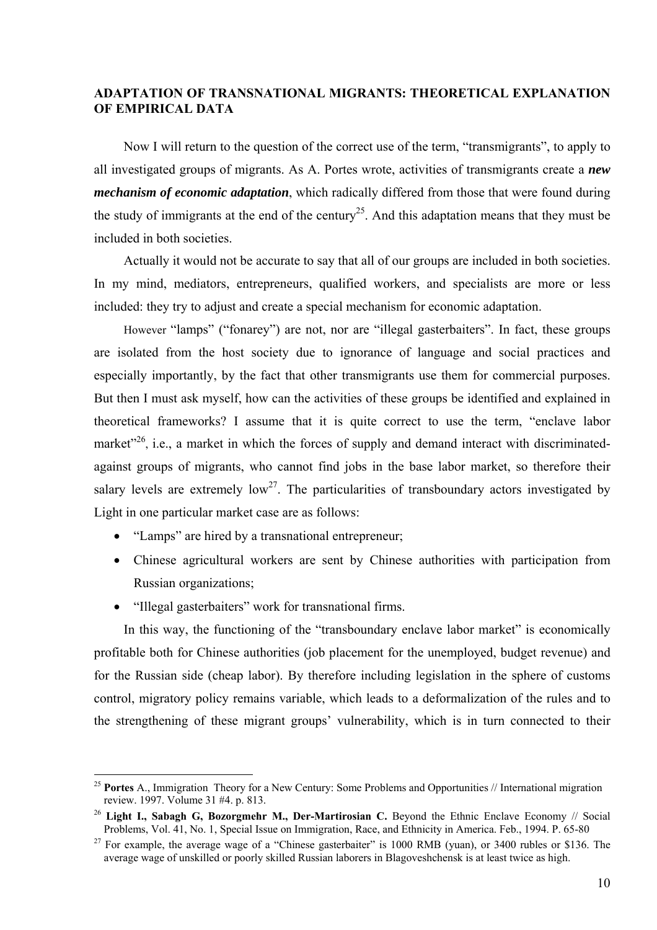## **ADAPTATION OF TRANSNATIONAL MIGRANTS: THEORETICAL EXPLANATION OF EMPIRICAL DATA**

Now I will return to the question of the correct use of the term, "transmigrants", to apply to all investigated groups of migrants. As A. Portes wrote, activities of transmigrants create a *new mechanism of economic adaptation*, which radically differed from those that were found during the study of immigrants at the end of the century<sup>25</sup>. And this adaptation means that they must be included in both societies.

Actually it would not be accurate to say that all of our groups are included in both societies. In my mind, mediators, entrepreneurs, qualified workers, and specialists are more or less included: they try to adjust and create a special mechanism for economic adaptation.

However "lamps" ("fonarey") are not, nor are "illegal gasterbaiters". In fact, these groups are isolated from the host society due to ignorance of language and social practices and especially importantly, by the fact that other transmigrants use them for commercial purposes. But then I must ask myself, how can the activities of these groups be identified and explained in theoretical frameworks? I assume that it is quite correct to use the term, "enclave labor market<sup> $26$ </sup>, i.e., a market in which the forces of supply and demand interact with discriminatedagainst groups of migrants, who cannot find jobs in the base labor market, so therefore their salary levels are extremely  $low^{27}$ . The particularities of transboundary actors investigated by Light in one particular market case are as follows:

- "Lamps" are hired by a transnational entrepreneur;
- Chinese agricultural workers are sent by Chinese authorities with participation from Russian organizations;
- "Illegal gasterbaiters" work for transnational firms.

 $\overline{a}$ 

In this way, the functioning of the "transboundary enclave labor market" is economically profitable both for Chinese authorities (job placement for the unemployed, budget revenue) and for the Russian side (cheap labor). By therefore including legislation in the sphere of customs control, migratory policy remains variable, which leads to a deformalization of the rules and to the strengthening of these migrant groups' vulnerability, which is in turn connected to their

<sup>&</sup>lt;sup>25</sup> **Portes** A., Immigration Theory for a New Century: Some Problems and Opportunities // International migration review. 1997. Volume 31 #4. p. 813.

<sup>&</sup>lt;sup>26</sup> Light I., Sabagh G, Bozorgmehr M., Der-Martirosian C. Beyond the Ethnic Enclave Economy // Social Problems. Vol. 41, No. 1. Special Issue on Immigration. Race, and Ethnicity in America. Feb., 1994. P. 65-80

<sup>&</sup>lt;sup>27</sup> For example, the average wage of a "Chinese gasterbaiter" is 1000 RMB (yuan), or 3400 rubles or \$136. The average wage of unskilled or poorly skilled Russian laborers in Blagoveshchensk is at least twice as high.